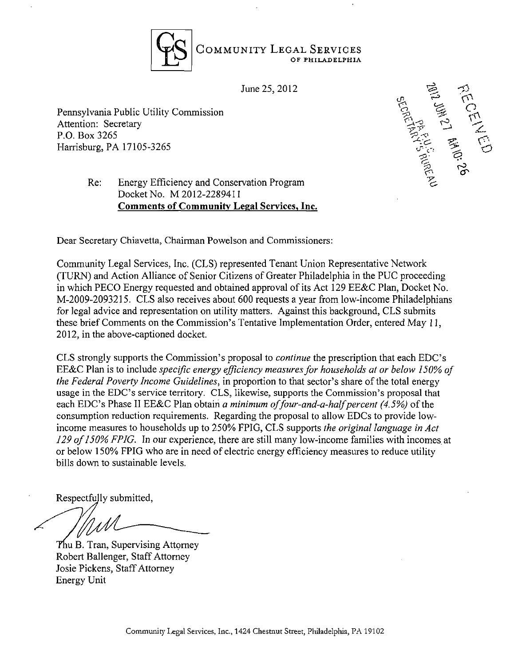

 $\sum_{i=1}^{\infty}$  Pennsylvania Public Commission Commission Commission Commission Commission Commission Commission Commission Commission Commission Commission Commission Commission Commission Commission Commission Commission Attention: Secretary  $\sum_{\alpha}$   $\sum_{\beta}$   $\sum_{\beta}$   $\sum_{\beta}$   $\sum_{\beta}$   $\sum_{\beta}$   $\sum_{\beta}$   $\sum_{\beta}$   $\sum_{\beta}$   $\sum_{\beta}$   $\sum_{\beta}$   $\sum_{\beta}$   $\sum_{\beta}$   $\sum_{\beta}$   $\sum_{\beta}$   $\sum_{\beta}$   $\sum_{\beta}$   $\sum_{\beta}$   $\sum_{\beta}$   $\sum_{\beta}$   $\sum_{\beta}$   $\sum_{\beta}$   $\$ P.O. Box 3265 ^



## Re: Energy Efficiency and Conservation Program Docket No. M 2012-2289411 Comments of Community Legal Services, Inc.

Dear Secretary Chiavetta, Chairman Powelson and Commissioners:

Community Legal Services, Inc. (CLS) represented Tenant Union Representative Network (TURN) and Action Alliance of Senior Citizens of Greater Philadelphia in the PUC proceeding in which PECO Energy requested and obtained approval of its Act 129 EE&C Plan, Docket No. M-2009-2093215. CLS also receives about 600 requests a year from low-income Philadelphians for legal advice and representation on utility matters. Against this background, CLS submits these brief Comments on the Commission's Tentative Implementation Order, entered May 11, 2012, in the above-captioned docket.

CLS strongly supports the Commission's proposal to continue the prescription that each EDC's EE&C Plan is to include specific energy efficiency measures for households at or below 150% of the Federal Poverty Income Guidelines, in proportion to that sector's share of the total energy usage in the EDC's service territory. CLS, likewise, supports the Commission's proposal that each EDC's Phase II EE&C Plan obtain a minimum of four-and-a-half percent  $(4.5\%)$  of the consumption reduction requirements. Regarding the proposal to allow EDCs to provide lowincome measures to households up to 250% FPIG, CLS supports the original language in Act 129 of 150% FPIG. In our experience, there are still many low-income families with incomes at or below 150% FPIG who are in need of electric energy efficiency measures to reduce utility bills down to sustainable levels.

Respectfully submitted.

Thu B. Tran, Supervising Attorney Robert Ballenger, Staff Attorney Josie Pickens, Staff Attorney Energy Unit